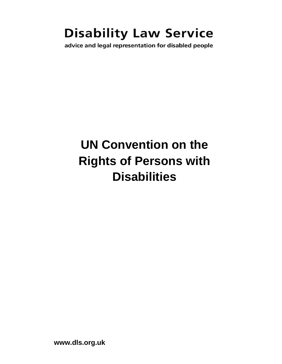## **Disability Law Service**

advice and legal representation for disabled people

# **UN Convention on the Rights of Persons with Disabilities**

**www.dls.org.uk**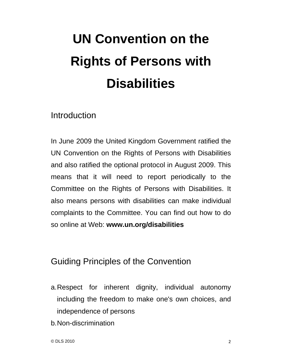# **UN Convention on the Rights of Persons with Disabilities**

Introduction

In June 2009 the United Kingdom Government ratified the UN Convention on the Rights of Persons with Disabilities and also ratified the optional protocol in August 2009. This means that it will need to report periodically to the Committee on the Rights of Persons with Disabilities. It also means persons with disabilities can make individual complaints to the Committee. You can find out how to do so online at Web: **www.un.org/disabilities** 

### Guiding Principles of the Convention

- a. Respect for inherent dignity, individual autonomy including the freedom to make one's own choices, and independence of persons
- b. Non-discrimination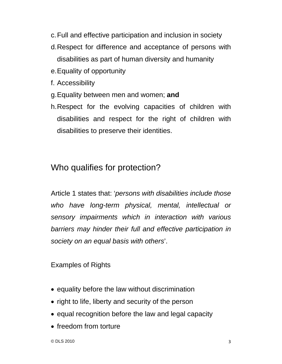- c. Full and effective participation and inclusion in society
- d. Respect for difference and acceptance of persons with disabilities as part of human diversity and humanity
- e. Equality of opportunity
- f. Accessibility
- g. Equality between men and women; **and**
- h. Respect for the evolving capacities of children with disabilities and respect for the right of children with disabilities to preserve their identities.

## Who qualifies for protection?

Article 1 states that: '*persons with disabilities include those who have long-term physical, mental, intellectual or sensory impairments which in interaction with various barriers may hinder their full and effective participation in society on an equal basis with others*'.

#### Examples of Rights

- equality before the law without discrimination
- right to life, liberty and security of the person
- equal recognition before the law and legal capacity
- freedom from torture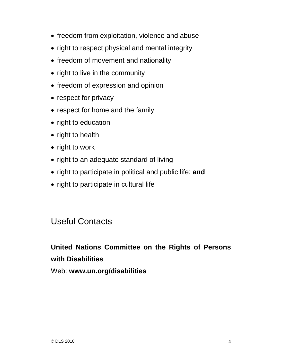- freedom from exploitation, violence and abuse
- right to respect physical and mental integrity
- freedom of movement and nationality
- right to live in the community
- freedom of expression and opinion
- respect for privacy
- respect for home and the family
- right to education
- right to health
- right to work
- right to an adequate standard of living
- right to participate in political and public life; **and**
- right to participate in cultural life

### Useful Contacts

### **United Nations Committee on the Rights of Persons with Disabilities**

Web: **www.un.org/disabilities**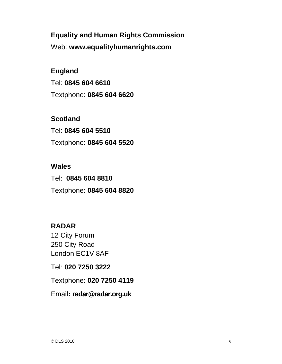**Equality and Human Rights Commission**  Web: **www.equalityhumanrights.com** 

**England** Tel: **0845 604 6610** Textphone: **0845 604 6620** 

**Scotland** Tel: **0845 604 5510** Textphone: **0845 604 5520** 

**Wales**  Tel: **0845 604 8810** Textphone: **0845 604 8820** 

**RADAR**  12 City Forum 250 City Road London EC1V 8AF

Tel: **020 7250 3222** 

Textphone: **020 7250 4119** 

Email**: radar@radar.org.uk**